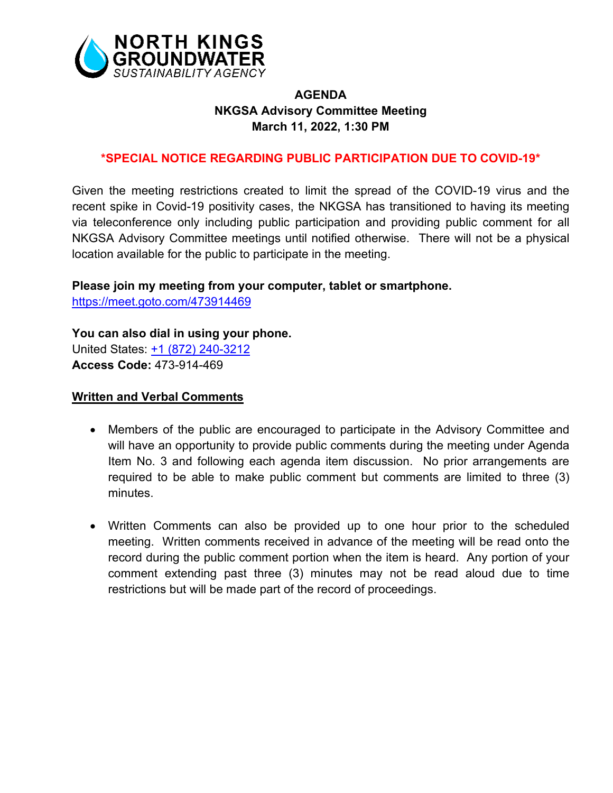

# **AGENDA NKGSA Advisory Committee Meeting March 11, 2022, 1:30 PM**

# **\*SPECIAL NOTICE REGARDING PUBLIC PARTICIPATION DUE TO COVID-19\***

Given the meeting restrictions created to limit the spread of the COVID-19 virus and the recent spike in Covid-19 positivity cases, the NKGSA has transitioned to having its meeting via teleconference only including public participation and providing public comment for all NKGSA Advisory Committee meetings until notified otherwise. There will not be a physical location available for the public to participate in the meeting.

### **Please join my meeting from your computer, tablet or smartphone.**

<https://meet.goto.com/473914469>

#### **You can also dial in using your phone.**

United States: [+1 \(872\) 240-3212](tel:+18722403212,,473914469) **Access Code:** 473-914-469

### **Written and Verbal Comments**

- Members of the public are encouraged to participate in the Advisory Committee and will have an opportunity to provide public comments during the meeting under Agenda Item No. 3 and following each agenda item discussion. No prior arrangements are required to be able to make public comment but comments are limited to three (3) minutes.
- Written Comments can also be provided up to one hour prior to the scheduled meeting. Written comments received in advance of the meeting will be read onto the record during the public comment portion when the item is heard. Any portion of your comment extending past three (3) minutes may not be read aloud due to time restrictions but will be made part of the record of proceedings.